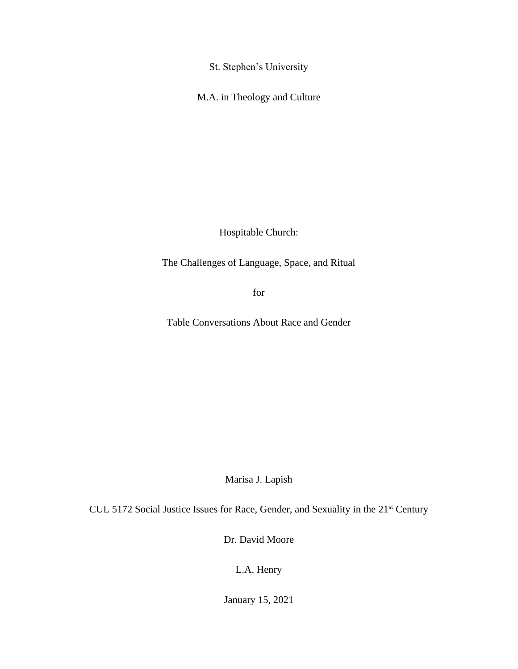St. Stephen's University

M.A. in Theology and Culture

Hospitable Church:

The Challenges of Language, Space, and Ritual

for

Table Conversations About Race and Gender

Marisa J. Lapish

CUL 5172 Social Justice Issues for Race, Gender, and Sexuality in the 21<sup>st</sup> Century

Dr. David Moore

L.A. Henry

January 15, 2021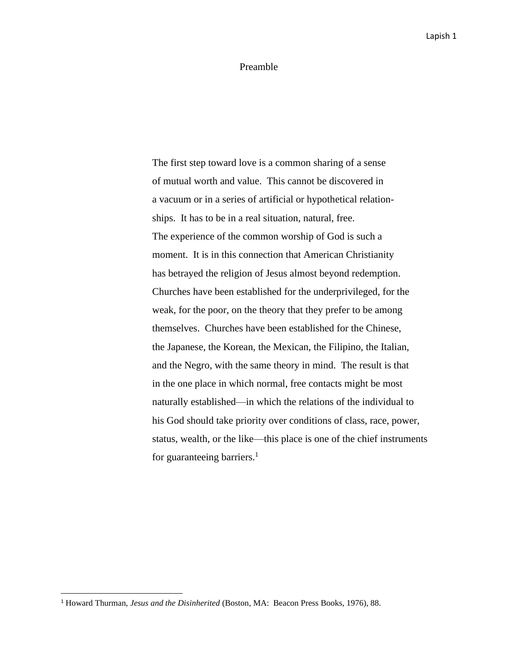#### Preamble

The first step toward love is a common sharing of a sense of mutual worth and value. This cannot be discovered in a vacuum or in a series of artificial or hypothetical relationships. It has to be in a real situation, natural, free. The experience of the common worship of God is such a moment. It is in this connection that American Christianity has betrayed the religion of Jesus almost beyond redemption. Churches have been established for the underprivileged, for the weak, for the poor, on the theory that they prefer to be among themselves. Churches have been established for the Chinese, the Japanese, the Korean, the Mexican, the Filipino, the Italian, and the Negro, with the same theory in mind. The result is that in the one place in which normal, free contacts might be most naturally established—in which the relations of the individual to his God should take priority over conditions of class, race, power, status, wealth, or the like—this place is one of the chief instruments for guaranteeing barriers.<sup>1</sup>

<sup>1</sup> Howard Thurman, *Jesus and the Disinherited* (Boston, MA: Beacon Press Books, 1976), 88.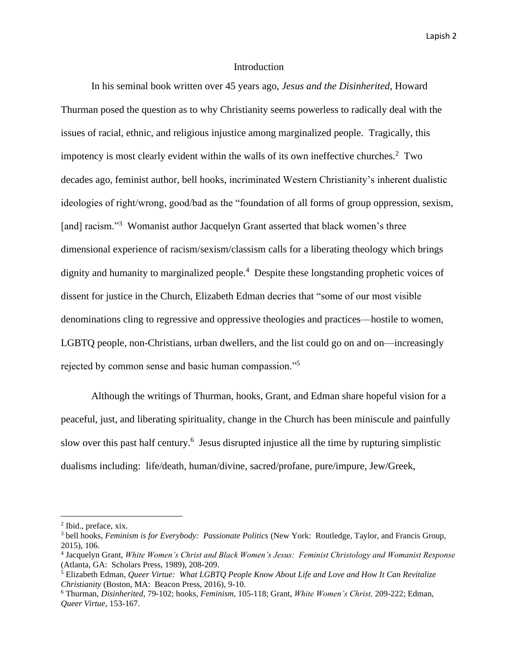#### Introduction

In his seminal book written over 45 years ago, *Jesus and the Disinherited*, Howard Thurman posed the question as to why Christianity seems powerless to radically deal with the issues of racial, ethnic, and religious injustice among marginalized people. Tragically, this impotency is most clearly evident within the walls of its own ineffective churches. $2$  Two decades ago, feminist author, bell hooks, incriminated Western Christianity's inherent dualistic ideologies of right/wrong, good/bad as the "foundation of all forms of group oppression, sexism, [and] racism."<sup>3</sup> Womanist author Jacquelyn Grant asserted that black women's three dimensional experience of racism/sexism/classism calls for a liberating theology which brings dignity and humanity to marginalized people.<sup>4</sup> Despite these longstanding prophetic voices of dissent for justice in the Church, Elizabeth Edman decries that "some of our most visible denominations cling to regressive and oppressive theologies and practices—hostile to women, LGBTQ people, non-Christians, urban dwellers, and the list could go on and on—increasingly rejected by common sense and basic human compassion."<sup>5</sup>

Although the writings of Thurman, hooks, Grant, and Edman share hopeful vision for a peaceful, just, and liberating spirituality, change in the Church has been miniscule and painfully slow over this past half century.<sup>6</sup> Jesus disrupted injustice all the time by rupturing simplistic dualisms including: life/death, human/divine, sacred/profane, pure/impure, Jew/Greek,

<sup>2</sup> Ibid., preface, xix.

<sup>3</sup> bell hooks, *Feminism is for Everybody: Passionate Politics* (New York: Routledge, Taylor, and Francis Group, 2015), 106.

<sup>4</sup> Jacquelyn Grant, *White Women's Christ and Black Women's Jesus: Feminist Christology and Womanist Response*  (Atlanta, GA: Scholars Press, 1989), 208-209.

<sup>5</sup> Elizabeth Edman, *Queer Virtue: What LGBTQ People Know About Life and Love and How It Can Revitalize Christianity* (Boston, MA: Beacon Press, 2016), 9-10.

<sup>6</sup> Thurman, *Disinherited,* 79-102; hooks, *Feminism,* 105-118; Grant, *White Women's Christ,* 209-222; Edman, *Queer Virtue,* 153-167.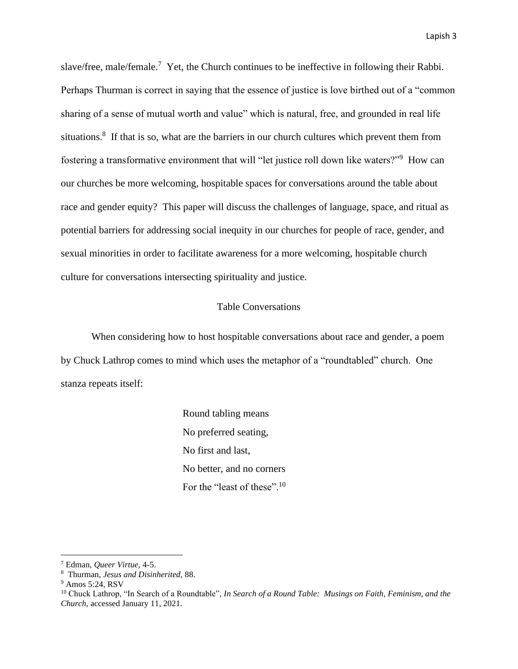slave/free, male/female.<sup>7</sup> Yet, the Church continues to be ineffective in following their Rabbi. Perhaps Thurman is correct in saying that the essence of justice is love birthed out of a "common sharing of a sense of mutual worth and value" which is natural, free, and grounded in real life situations.<sup>8</sup> If that is so, what are the barriers in our church cultures which prevent them from fostering a transformative environment that will "let justice roll down like waters?"<sup>9</sup> How can our churches be more welcoming, hospitable spaces for conversations around the table about race and gender equity? This paper will discuss the challenges of language, space, and ritual as potential barriers for addressing social inequity in our churches for people of race, gender, and sexual minorities in order to facilitate awareness for a more welcoming, hospitable church culture for conversations intersecting spirituality and justice.

## Table Conversations

When considering how to host hospitable conversations about race and gender, a poem by Chuck Lathrop comes to mind which uses the metaphor of a "roundtabled" church. One stanza repeats itself:

> Round tabling means No preferred seating, No first and last, No better, and no corners For the "least of these".<sup>10</sup>

<sup>7</sup> Edman, *Queer Virtue,* 4-5.

<sup>8</sup> Thurman, *Jesus and Disinherited,* 88.

<sup>9</sup> Amos 5:24, RSV

<sup>&</sup>lt;sup>10</sup> Chuck Lathrop, "In Search of a Roundtable", *In Search of a Round Table: Musings on Faith, Feminism, and the Church,* accessed January 11, 2021.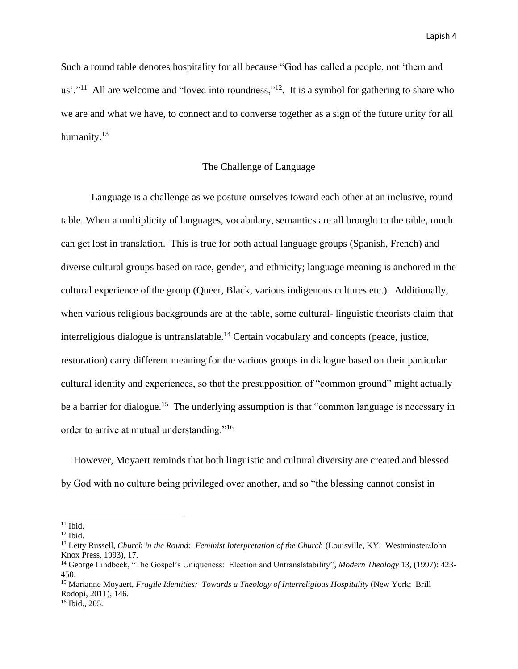Such a round table denotes hospitality for all because "God has called a people, not 'them and us'."<sup>11</sup> All are welcome and "loved into roundness,"<sup>12</sup>. It is a symbol for gathering to share who we are and what we have, to connect and to converse together as a sign of the future unity for all humanity.<sup>13</sup>

# The Challenge of Language

Language is a challenge as we posture ourselves toward each other at an inclusive, round table. When a multiplicity of languages, vocabulary, semantics are all brought to the table, much can get lost in translation. This is true for both actual language groups (Spanish, French) and diverse cultural groups based on race, gender, and ethnicity; language meaning is anchored in the cultural experience of the group (Queer, Black, various indigenous cultures etc.). Additionally, when various religious backgrounds are at the table, some cultural- linguistic theorists claim that interreligious dialogue is untranslatable.<sup>14</sup> Certain vocabulary and concepts (peace, justice, restoration) carry different meaning for the various groups in dialogue based on their particular cultural identity and experiences, so that the presupposition of "common ground" might actually be a barrier for dialogue.<sup>15</sup> The underlying assumption is that "common language is necessary in order to arrive at mutual understanding."<sup>16</sup>

 However, Moyaert reminds that both linguistic and cultural diversity are created and blessed by God with no culture being privileged over another, and so "the blessing cannot consist in

 $11$  Ibid.

 $12$  Ibid.

<sup>&</sup>lt;sup>13</sup> Letty Russell, *Church in the Round: Feminist Interpretation of the Church* (Louisville, KY: Westminster/John Knox Press, 1993), 17.

<sup>14</sup> George Lindbeck, "The Gospel's Uniqueness: Election and Untranslatability", *Modern Theology* 13, (1997): 423- 450.

<sup>&</sup>lt;sup>15</sup> Marianne Moyaert, *Fragile Identities: Towards a Theology of Interreligious Hospitality* (New York: Brill Rodopi, 2011), 146.

<sup>16</sup> Ibid., 205.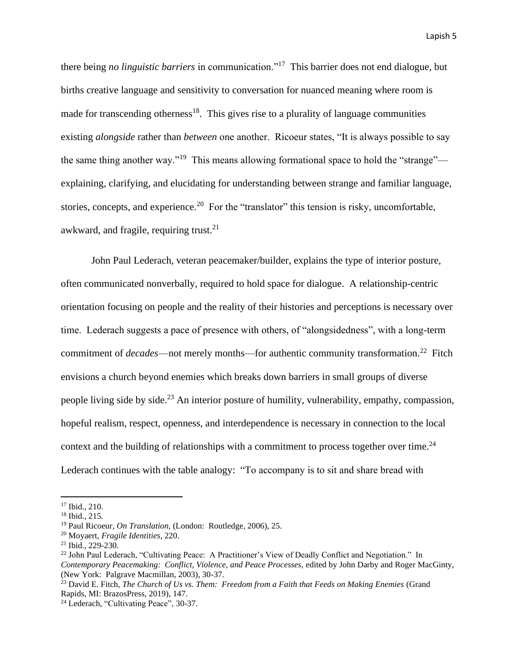there being *no linguistic barriers* in communication."<sup>17</sup> This barrier does not end dialogue, but births creative language and sensitivity to conversation for nuanced meaning where room is made for transcending otherness<sup>18</sup>. This gives rise to a plurality of language communities existing *alongside* rather than *between* one another. Ricoeur states, "It is always possible to say the same thing another way."<sup>19</sup> This means allowing formational space to hold the "strange" explaining, clarifying, and elucidating for understanding between strange and familiar language, stories, concepts, and experience.<sup>20</sup> For the "translator" this tension is risky, uncomfortable, awkward, and fragile, requiring trust.<sup>21</sup>

John Paul Lederach, veteran peacemaker/builder, explains the type of interior posture, often communicated nonverbally, required to hold space for dialogue. A relationship-centric orientation focusing on people and the reality of their histories and perceptions is necessary over time. Lederach suggests a pace of presence with others, of "alongsidedness", with a long-term commitment of *decades*—not merely months—for authentic community transformation.<sup>22</sup> Fitch envisions a church beyond enemies which breaks down barriers in small groups of diverse people living side by side.<sup>23</sup> An interior posture of humility, vulnerability, empathy, compassion, hopeful realism, respect, openness, and interdependence is necessary in connection to the local context and the building of relationships with a commitment to process together over time.<sup>24</sup> Lederach continues with the table analogy: "To accompany is to sit and share bread with

<sup>17</sup> Ibid., 210.

<sup>18</sup> Ibid., 215.

<sup>19</sup> Paul Ricoeur, *On Translation,* (London: Routledge, 2006), 25.

<sup>20</sup> Moyaert, *Fragile Identities,* 220.

 $21$  Ibid., 229-230.

<sup>&</sup>lt;sup>22</sup> John Paul Lederach, "Cultivating Peace: A Practitioner's View of Deadly Conflict and Negotiation." In *Contemporary Peacemaking: Conflict, Violence, and Peace Processes,* edited by John Darby and Roger MacGinty, (New York: Palgrave Macmillan, 2003), 30-37.

<sup>&</sup>lt;sup>23</sup> David E. Fitch, *The Church of Us vs. Them: Freedom from a Faith that Feeds on Making Enemies* (Grand Rapids, MI: BrazosPress, 2019), 147.

<sup>24</sup> Lederach, "Cultivating Peace", 30-37.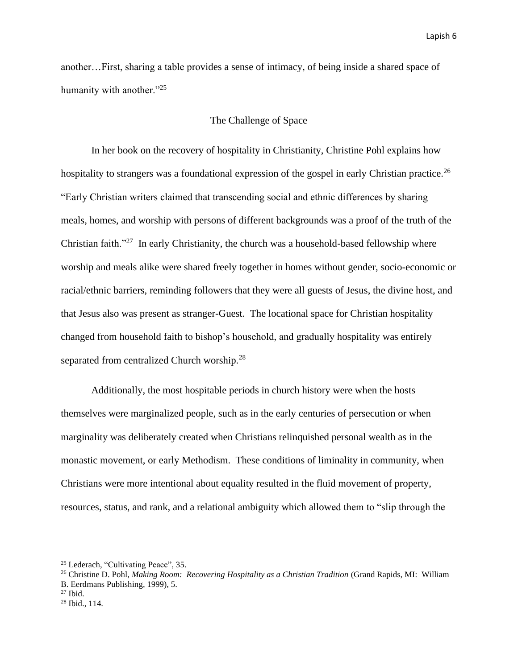another…First, sharing a table provides a sense of intimacy, of being inside a shared space of humanity with another."<sup>25</sup>

## The Challenge of Space

In her book on the recovery of hospitality in Christianity, Christine Pohl explains how hospitality to strangers was a foundational expression of the gospel in early Christian practice.<sup>26</sup> "Early Christian writers claimed that transcending social and ethnic differences by sharing meals, homes, and worship with persons of different backgrounds was a proof of the truth of the Christian faith. $127$  In early Christianity, the church was a household-based fellowship where worship and meals alike were shared freely together in homes without gender, socio-economic or racial/ethnic barriers, reminding followers that they were all guests of Jesus, the divine host, and that Jesus also was present as stranger-Guest. The locational space for Christian hospitality changed from household faith to bishop's household, and gradually hospitality was entirely separated from centralized Church worship.<sup>28</sup>

Additionally, the most hospitable periods in church history were when the hosts themselves were marginalized people, such as in the early centuries of persecution or when marginality was deliberately created when Christians relinquished personal wealth as in the monastic movement, or early Methodism. These conditions of liminality in community, when Christians were more intentional about equality resulted in the fluid movement of property, resources, status, and rank, and a relational ambiguity which allowed them to "slip through the

<sup>25</sup> Lederach, "Cultivating Peace", 35.

<sup>&</sup>lt;sup>26</sup> Christine D. Pohl, *Making Room: Recovering Hospitality as a Christian Tradition* (Grand Rapids, MI: William B. Eerdmans Publishing, 1999), 5.

 $27$  Ibid.

<sup>28</sup> Ibid., 114.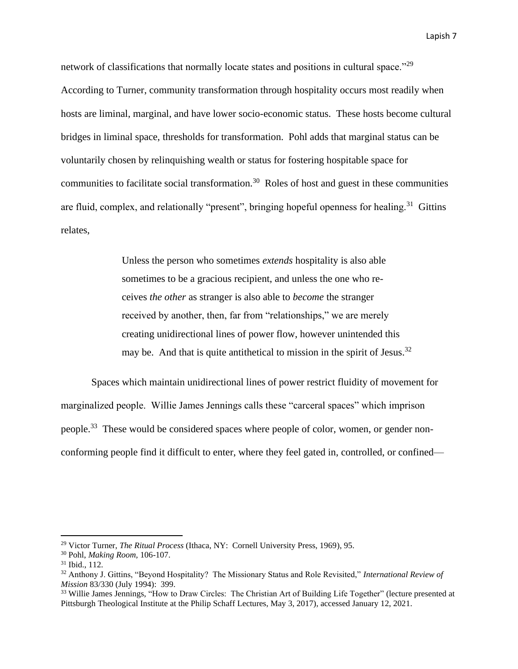network of classifications that normally locate states and positions in cultural space."<sup>29</sup> According to Turner, community transformation through hospitality occurs most readily when hosts are liminal, marginal, and have lower socio-economic status. These hosts become cultural bridges in liminal space, thresholds for transformation. Pohl adds that marginal status can be voluntarily chosen by relinquishing wealth or status for fostering hospitable space for communities to facilitate social transformation.<sup>30</sup> Roles of host and guest in these communities are fluid, complex, and relationally "present", bringing hopeful openness for healing.<sup>31</sup> Gittins relates,

> Unless the person who sometimes *extends* hospitality is also able sometimes to be a gracious recipient, and unless the one who receives *the other* as stranger is also able to *become* the stranger received by another, then, far from "relationships," we are merely creating unidirectional lines of power flow, however unintended this may be. And that is quite antithetical to mission in the spirit of Jesus.<sup>32</sup>

Spaces which maintain unidirectional lines of power restrict fluidity of movement for marginalized people. Willie James Jennings calls these "carceral spaces" which imprison people.<sup>33</sup> These would be considered spaces where people of color, women, or gender nonconforming people find it difficult to enter, where they feel gated in, controlled, or confined—

<sup>29</sup> Victor Turner, *The Ritual Process* (Ithaca, NY: Cornell University Press, 1969), 95.

<sup>30</sup> Pohl, *Making Room,* 106-107.

<sup>31</sup> Ibid., 112.

<sup>32</sup> Anthony J. Gittins, "Beyond Hospitality? The Missionary Status and Role Revisited," *International Review of Mission* 83/330 (July 1994): 399.

<sup>&</sup>lt;sup>33</sup> Willie James Jennings, "How to Draw Circles: The Christian Art of Building Life Together" (lecture presented at Pittsburgh Theological Institute at the Philip Schaff Lectures, May 3, 2017), accessed January 12, 2021.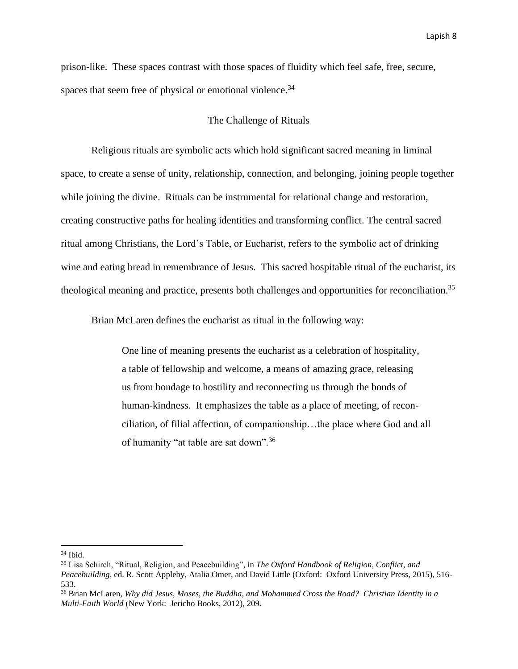prison-like. These spaces contrast with those spaces of fluidity which feel safe, free, secure, spaces that seem free of physical or emotional violence.<sup>34</sup>

#### The Challenge of Rituals

Religious rituals are symbolic acts which hold significant sacred meaning in liminal space, to create a sense of unity, relationship, connection, and belonging, joining people together while joining the divine. Rituals can be instrumental for relational change and restoration, creating constructive paths for healing identities and transforming conflict. The central sacred ritual among Christians, the Lord's Table, or Eucharist, refers to the symbolic act of drinking wine and eating bread in remembrance of Jesus. This sacred hospitable ritual of the eucharist, its theological meaning and practice, presents both challenges and opportunities for reconciliation.<sup>35</sup>

Brian McLaren defines the eucharist as ritual in the following way:

One line of meaning presents the eucharist as a celebration of hospitality, a table of fellowship and welcome, a means of amazing grace, releasing us from bondage to hostility and reconnecting us through the bonds of human-kindness. It emphasizes the table as a place of meeting, of reconciliation, of filial affection, of companionship…the place where God and all of humanity "at table are sat down".<sup>36</sup>

 $34$  Ibid.

<sup>35</sup> Lisa Schirch, "Ritual, Religion, and Peacebuilding", in *The Oxford Handbook of Religion, Conflict, and Peacebuilding,* ed. R. Scott Appleby, Atalia Omer, and David Little (Oxford: Oxford University Press, 2015), 516- 533.

<sup>36</sup> Brian McLaren, *Why did Jesus, Moses, the Buddha, and Mohammed Cross the Road? Christian Identity in a Multi-Faith World* (New York: Jericho Books, 2012), 209.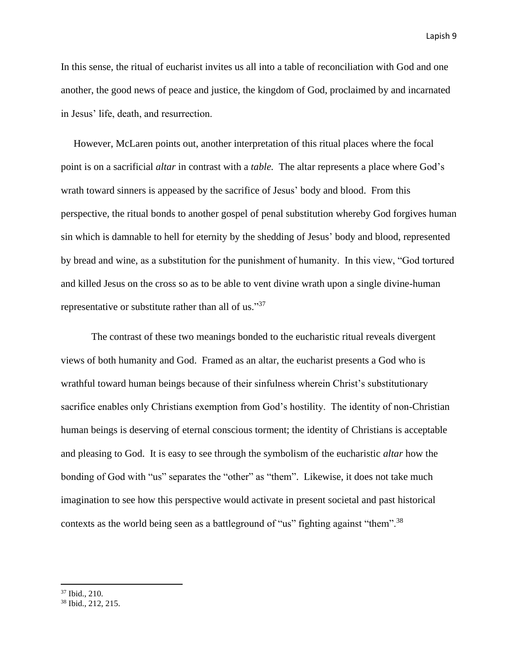In this sense, the ritual of eucharist invites us all into a table of reconciliation with God and one another, the good news of peace and justice, the kingdom of God, proclaimed by and incarnated in Jesus' life, death, and resurrection.

 However, McLaren points out, another interpretation of this ritual places where the focal point is on a sacrificial *altar* in contrast with a *table.* The altar represents a place where God's wrath toward sinners is appeased by the sacrifice of Jesus' body and blood. From this perspective, the ritual bonds to another gospel of penal substitution whereby God forgives human sin which is damnable to hell for eternity by the shedding of Jesus' body and blood, represented by bread and wine, as a substitution for the punishment of humanity. In this view, "God tortured and killed Jesus on the cross so as to be able to vent divine wrath upon a single divine-human representative or substitute rather than all of us."<sup>37</sup>

The contrast of these two meanings bonded to the eucharistic ritual reveals divergent views of both humanity and God. Framed as an altar, the eucharist presents a God who is wrathful toward human beings because of their sinfulness wherein Christ's substitutionary sacrifice enables only Christians exemption from God's hostility. The identity of non-Christian human beings is deserving of eternal conscious torment; the identity of Christians is acceptable and pleasing to God. It is easy to see through the symbolism of the eucharistic *altar* how the bonding of God with "us" separates the "other" as "them". Likewise, it does not take much imagination to see how this perspective would activate in present societal and past historical contexts as the world being seen as a battleground of "us" fighting against "them".<sup>38</sup>

<sup>37</sup> Ibid., 210.

<sup>38</sup> Ibid., 212, 215.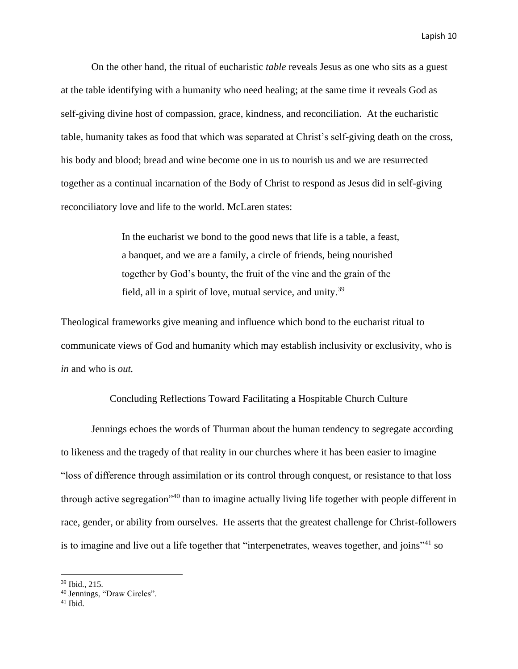On the other hand, the ritual of eucharistic *table* reveals Jesus as one who sits as a guest at the table identifying with a humanity who need healing; at the same time it reveals God as self-giving divine host of compassion, grace, kindness, and reconciliation. At the eucharistic table, humanity takes as food that which was separated at Christ's self-giving death on the cross, his body and blood; bread and wine become one in us to nourish us and we are resurrected together as a continual incarnation of the Body of Christ to respond as Jesus did in self-giving reconciliatory love and life to the world. McLaren states:

> In the eucharist we bond to the good news that life is a table, a feast, a banquet, and we are a family, a circle of friends, being nourished together by God's bounty, the fruit of the vine and the grain of the field, all in a spirit of love, mutual service, and unity.<sup>39</sup>

Theological frameworks give meaning and influence which bond to the eucharist ritual to communicate views of God and humanity which may establish inclusivity or exclusivity, who is *in* and who is *out.*

## Concluding Reflections Toward Facilitating a Hospitable Church Culture

Jennings echoes the words of Thurman about the human tendency to segregate according to likeness and the tragedy of that reality in our churches where it has been easier to imagine "loss of difference through assimilation or its control through conquest, or resistance to that loss through active segregation<sup>"40</sup> than to imagine actually living life together with people different in race, gender, or ability from ourselves. He asserts that the greatest challenge for Christ-followers is to imagine and live out a life together that "interpenetrates, weaves together, and joins"<sup>41</sup> so

<sup>39</sup> Ibid., 215.

<sup>40</sup> Jennings, "Draw Circles".

 $41$  Ibid.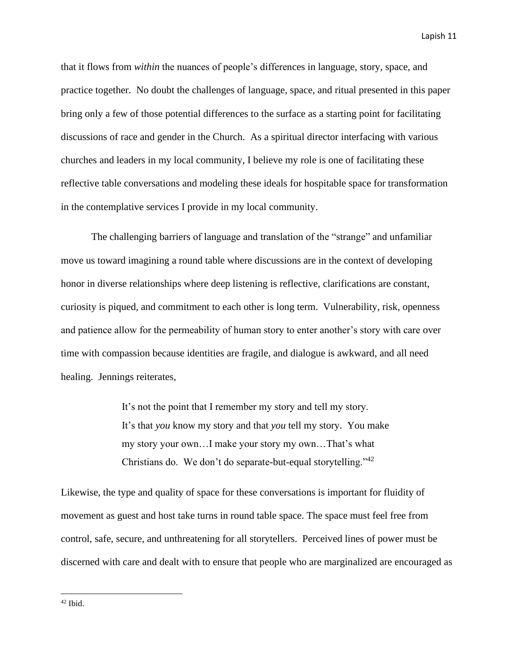that it flows from *within* the nuances of people's differences in language, story, space, and practice together. No doubt the challenges of language, space, and ritual presented in this paper bring only a few of those potential differences to the surface as a starting point for facilitating discussions of race and gender in the Church. As a spiritual director interfacing with various churches and leaders in my local community, I believe my role is one of facilitating these reflective table conversations and modeling these ideals for hospitable space for transformation in the contemplative services I provide in my local community.

The challenging barriers of language and translation of the "strange" and unfamiliar move us toward imagining a round table where discussions are in the context of developing honor in diverse relationships where deep listening is reflective, clarifications are constant, curiosity is piqued, and commitment to each other is long term. Vulnerability, risk, openness and patience allow for the permeability of human story to enter another's story with care over time with compassion because identities are fragile, and dialogue is awkward, and all need healing. Jennings reiterates,

> It's not the point that I remember my story and tell my story. It's that *you* know my story and that *you* tell my story. You make my story your own…I make your story my own…That's what Christians do. We don't do separate-but-equal storytelling." $42$

Likewise, the type and quality of space for these conversations is important for fluidity of movement as guest and host take turns in round table space. The space must feel free from control, safe, secure, and unthreatening for all storytellers. Perceived lines of power must be discerned with care and dealt with to ensure that people who are marginalized are encouraged as

 $42$  Ibid.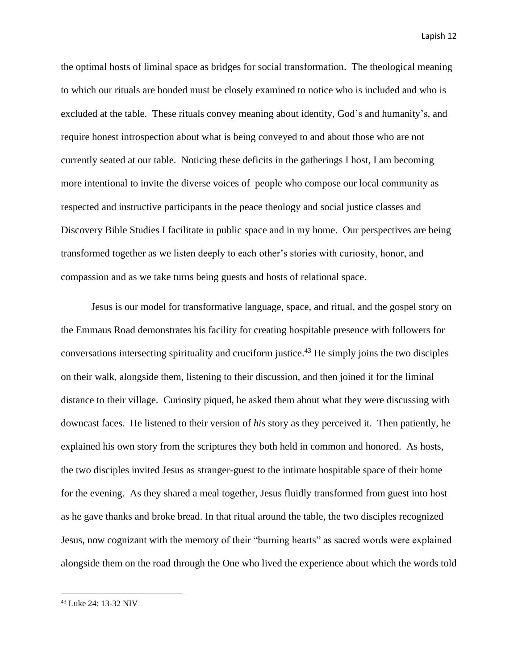the optimal hosts of liminal space as bridges for social transformation. The theological meaning to which our rituals are bonded must be closely examined to notice who is included and who is excluded at the table. These rituals convey meaning about identity, God's and humanity's, and require honest introspection about what is being conveyed to and about those who are not currently seated at our table. Noticing these deficits in the gatherings I host, I am becoming more intentional to invite the diverse voices of people who compose our local community as respected and instructive participants in the peace theology and social justice classes and Discovery Bible Studies I facilitate in public space and in my home. Our perspectives are being transformed together as we listen deeply to each other's stories with curiosity, honor, and compassion and as we take turns being guests and hosts of relational space.

Jesus is our model for transformative language, space, and ritual, and the gospel story on the Emmaus Road demonstrates his facility for creating hospitable presence with followers for conversations intersecting spirituality and cruciform justice. <sup>43</sup> He simply joins the two disciples on their walk, alongside them, listening to their discussion, and then joined it for the liminal distance to their village. Curiosity piqued, he asked them about what they were discussing with downcast faces. He listened to their version of *his* story as they perceived it. Then patiently, he explained his own story from the scriptures they both held in common and honored. As hosts, the two disciples invited Jesus as stranger-guest to the intimate hospitable space of their home for the evening. As they shared a meal together, Jesus fluidly transformed from guest into host as he gave thanks and broke bread. In that ritual around the table, the two disciples recognized Jesus, now cognizant with the memory of their "burning hearts" as sacred words were explained alongside them on the road through the One who lived the experience about which the words told

<sup>43</sup> Luke 24: 13-32 NIV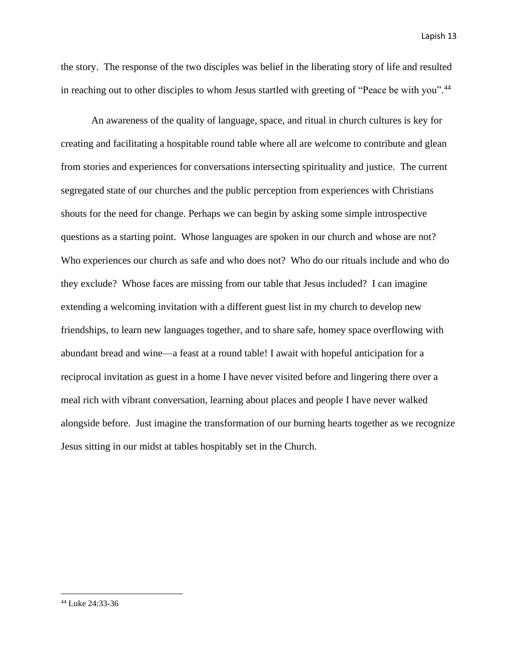the story. The response of the two disciples was belief in the liberating story of life and resulted in reaching out to other disciples to whom Jesus startled with greeting of "Peace be with you".<sup>44</sup>

 An awareness of the quality of language, space, and ritual in church cultures is key for creating and facilitating a hospitable round table where all are welcome to contribute and glean from stories and experiences for conversations intersecting spirituality and justice. The current segregated state of our churches and the public perception from experiences with Christians shouts for the need for change. Perhaps we can begin by asking some simple introspective questions as a starting point. Whose languages are spoken in our church and whose are not? Who experiences our church as safe and who does not? Who do our rituals include and who do they exclude? Whose faces are missing from our table that Jesus included? I can imagine extending a welcoming invitation with a different guest list in my church to develop new friendships, to learn new languages together, and to share safe, homey space overflowing with abundant bread and wine—a feast at a round table! I await with hopeful anticipation for a reciprocal invitation as guest in a home I have never visited before and lingering there over a meal rich with vibrant conversation, learning about places and people I have never walked alongside before. Just imagine the transformation of our burning hearts together as we recognize Jesus sitting in our midst at tables hospitably set in the Church.

<sup>44</sup> Luke 24:33-36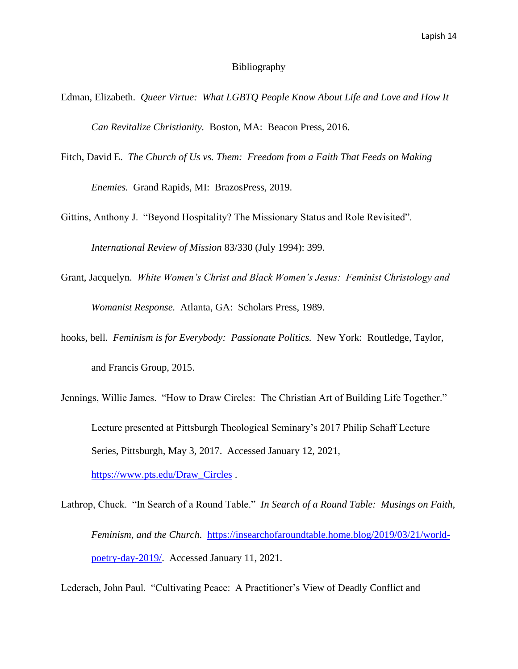#### Bibliography

Edman, Elizabeth. *Queer Virtue: What LGBTQ People Know About Life and Love and How It Can Revitalize Christianity.* Boston, MA: Beacon Press, 2016.

Fitch, David E. *The Church of Us vs. Them: Freedom from a Faith That Feeds on Making*

*Enemies.* Grand Rapids, MI: BrazosPress, 2019.

Gittins, Anthony J. "Beyond Hospitality? The Missionary Status and Role Revisited".

*International Review of Mission* 83/330 (July 1994): 399.

- Grant, Jacquelyn. *White Women's Christ and Black Women's Jesus: Feminist Christology and Womanist Response.* Atlanta, GA: Scholars Press, 1989.
- hooks, bell. *Feminism is for Everybody: Passionate Politics.* New York: Routledge, Taylor, and Francis Group, 2015.
- Jennings, Willie James. "How to Draw Circles: The Christian Art of Building Life Together." Lecture presented at Pittsburgh Theological Seminary's 2017 Philip Schaff Lecture Series, Pittsburgh, May 3, 2017. Accessed January 12, 2021, [https://www.pts.edu/Draw\\_Circles](https://www.pts.edu/Draw_Circles) .
- Lathrop, Chuck. "In Search of a Round Table." *In Search of a Round Table: Musings on Faith, Feminism, and the Church.* [https://insearchofaroundtable.home.blog/2019/03/21/world](https://insearchofaroundtable.home.blog/2019/03/21/world-poetry-day-2019/)[poetry-day-2019/.](https://insearchofaroundtable.home.blog/2019/03/21/world-poetry-day-2019/) Accessed January 11, 2021.

Lederach, John Paul. "Cultivating Peace: A Practitioner's View of Deadly Conflict and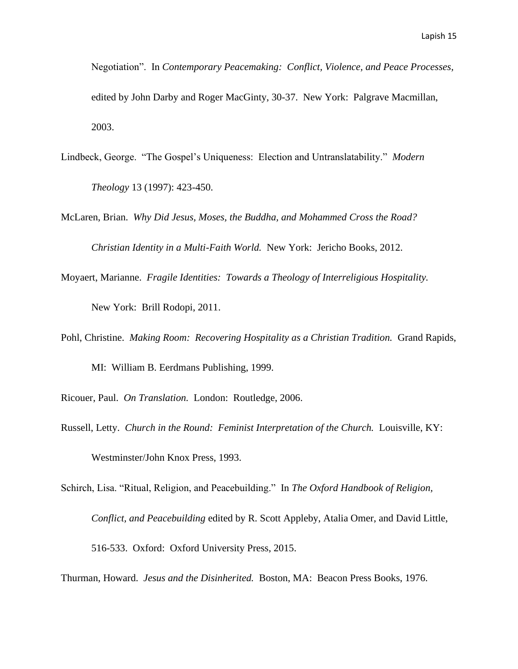- Negotiation". In *Contemporary Peacemaking: Conflict, Violence, and Peace Processes,* edited by John Darby and Roger MacGinty, 30-37. New York: Palgrave Macmillan, 2003.
- Lindbeck, George. "The Gospel's Uniqueness: Election and Untranslatability." *Modern Theology* 13 (1997): 423-450.
- McLaren, Brian. *Why Did Jesus, Moses, the Buddha, and Mohammed Cross the Road? Christian Identity in a Multi-Faith World.* New York: Jericho Books, 2012.
- Moyaert, Marianne. *Fragile Identities: Towards a Theology of Interreligious Hospitality.*

New York: Brill Rodopi, 2011.

- Pohl, Christine. *Making Room: Recovering Hospitality as a Christian Tradition.* Grand Rapids, MI: William B. Eerdmans Publishing, 1999.
- Ricouer, Paul. *On Translation.* London: Routledge, 2006.
- Russell, Letty. *Church in the Round: Feminist Interpretation of the Church.* Louisville, KY: Westminster/John Knox Press, 1993.

Schirch, Lisa. "Ritual, Religion, and Peacebuilding." In *The Oxford Handbook of Religion,*

*Conflict, and Peacebuilding* edited by R. Scott Appleby, Atalia Omer, and David Little,

516-533. Oxford: Oxford University Press, 2015.

Thurman, Howard. *Jesus and the Disinherited.* Boston, MA: Beacon Press Books, 1976.